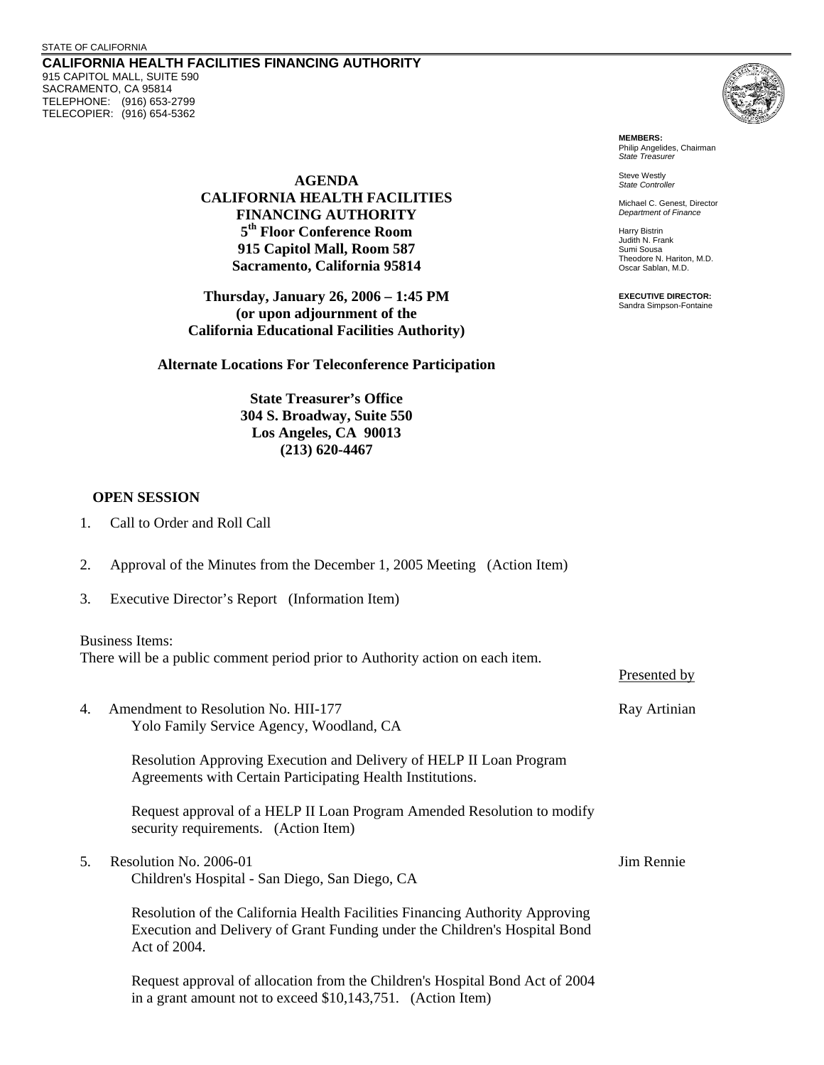## STATE OF CALIFORNIA

**CALIFORNIA HEALTH FACILITIES FINANCING AUTHORITY**  915 CAPITOL MALL, SUITE 590 SACRAMENTO, CA 95814 TELEPHONE: (916) 653-2799 TELECOPIER: (916) 654-5362

**FINANCING AUTHORITY** 

(or upon adjournment of the **California Educational Facilities Authority)** 



**MEMBERS:**  Philip Angelides, Chairman *State Treasurer* 

Steve Westly **AGENDA** *State Controller* 

**CALIFORNIA HEALTH FACILITIES** Michael C. Genest, Director *Department of Finance* 

**5<sup>th</sup> Floor Conference Room Harry Bistrin** Judith N. Frank **915 Capitol Mall, Room 587**<br>Sumi Sousa **Sumi Sousa**<br>Theodore N. Hariton, M.D. **Theodore N. Hariton, California 95814 Sacramento, California 95814 Oscar Sablan, M.D.** 

**Thursday, January 26, 2006 – 1:45 PM** EXECUTIVE DIRECTOR: Sandra Simpson-Fontaine

| <b>Alternate Locations For Teleconference Participation</b>                                                             |                                                                                                                                                                            |              |  |  |
|-------------------------------------------------------------------------------------------------------------------------|----------------------------------------------------------------------------------------------------------------------------------------------------------------------------|--------------|--|--|
|                                                                                                                         | <b>State Treasurer's Office</b><br>304 S. Broadway, Suite 550<br>Los Angeles, CA 90013<br>$(213) 620 - 4467$                                                               |              |  |  |
| <b>OPEN SESSION</b>                                                                                                     |                                                                                                                                                                            |              |  |  |
| 1.                                                                                                                      | Call to Order and Roll Call                                                                                                                                                |              |  |  |
| 2.                                                                                                                      | Approval of the Minutes from the December 1, 2005 Meeting (Action Item)                                                                                                    |              |  |  |
| 3.                                                                                                                      | Executive Director's Report (Information Item)                                                                                                                             |              |  |  |
| <b>Business Items:</b><br>There will be a public comment period prior to Authority action on each item.<br>Presented by |                                                                                                                                                                            |              |  |  |
| 4.                                                                                                                      | Amendment to Resolution No. HII-177<br>Yolo Family Service Agency, Woodland, CA                                                                                            | Ray Artinian |  |  |
|                                                                                                                         | Resolution Approving Execution and Delivery of HELP II Loan Program<br>Agreements with Certain Participating Health Institutions.                                          |              |  |  |
|                                                                                                                         | Request approval of a HELP II Loan Program Amended Resolution to modify<br>security requirements. (Action Item)                                                            |              |  |  |
| 5.                                                                                                                      | Resolution No. 2006-01<br>Children's Hospital - San Diego, San Diego, CA                                                                                                   | Jim Rennie   |  |  |
|                                                                                                                         | Resolution of the California Health Facilities Financing Authority Approving<br>Execution and Delivery of Grant Funding under the Children's Hospital Bond<br>Act of 2004. |              |  |  |

Request approval of allocation from the Children's Hospital Bond Act of 2004 in a grant amount not to exceed \$10,143,751. (Action Item)